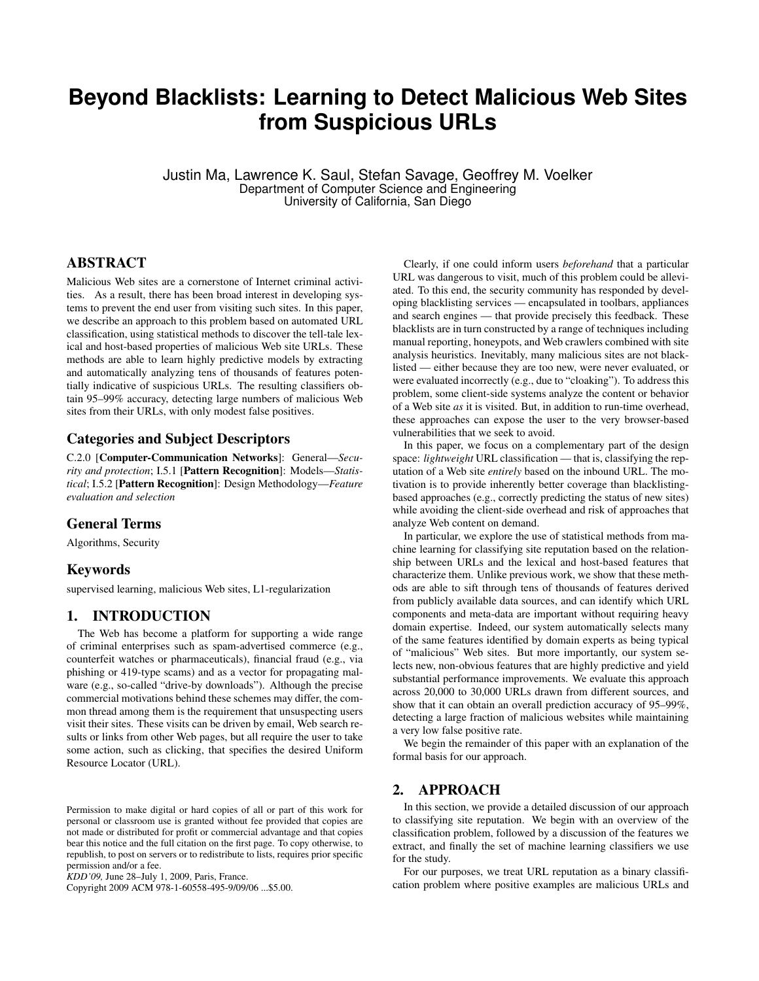# **Beyond Blacklists: Learning to Detect Malicious Web Sites from Suspicious URLs**

Justin Ma, Lawrence K. Saul, Stefan Savage, Geoffrey M. Voelker Department of Computer Science and Engineering University of California, San Diego

# **ABSTRACT**

Malicious Web sites are a cornerstone of Internet criminal activities. As a result, there has been broad interest in developing systems to prevent the end user from visiting such sites. In this paper, we describe an approach to this problem based on automated URL classification, using statistical methods to discover the tell-tale lexical and host-based properties of malicious Web site URLs. These methods are able to learn highly predictive models by extracting and automatically analyzing tens of thousands of features potentially indicative of suspicious URLs. The resulting classifiers obtain 95–99% accuracy, detecting large numbers of malicious Web sites from their URLs, with only modest false positives.

# **Categories and Subject Descriptors**

C.2.0 [**Computer-Communication Networks**]: General—*Security and protection*; I.5.1 [**Pattern Recognition**]: Models—*Statistical*; I.5.2 [**Pattern Recognition**]: Design Methodology—*Feature evaluation and selection*

# **General Terms**

Algorithms, Security

# **Keywords**

supervised learning, malicious Web sites, L1-regularization

# **1. INTRODUCTION**

The Web has become a platform for supporting a wide range of criminal enterprises such as spam-advertised commerce (e.g., counterfeit watches or pharmaceuticals), financial fraud (e.g., via phishing or 419-type scams) and as a vector for propagating malware (e.g., so-called "drive-by downloads"). Although the precise commercial motivations behind these schemes may differ, the common thread among them is the requirement that unsuspecting users visit their sites. These visits can be driven by email, Web search results or links from other Web pages, but all require the user to take some action, such as clicking, that specifies the desired Uniform Resource Locator (URL).

Copyright 2009 ACM 978-1-60558-495-9/09/06 ...\$5.00.

Clearly, if one could inform users *beforehand* that a particular URL was dangerous to visit, much of this problem could be alleviated. To this end, the security community has responded by developing blacklisting services — encapsulated in toolbars, appliances and search engines — that provide precisely this feedback. These blacklists are in turn constructed by a range of techniques including manual reporting, honeypots, and Web crawlers combined with site analysis heuristics. Inevitably, many malicious sites are not blacklisted — either because they are too new, were never evaluated, or were evaluated incorrectly (e.g., due to "cloaking"). To address this problem, some client-side systems analyze the content or behavior of a Web site *as* it is visited. But, in addition to run-time overhead, these approaches can expose the user to the very browser-based vulnerabilities that we seek to avoid.

In this paper, we focus on a complementary part of the design space: *lightweight* URL classification — that is, classifying the reputation of a Web site *entirely* based on the inbound URL. The motivation is to provide inherently better coverage than blacklistingbased approaches (e.g., correctly predicting the status of new sites) while avoiding the client-side overhead and risk of approaches that analyze Web content on demand.

In particular, we explore the use of statistical methods from machine learning for classifying site reputation based on the relationship between URLs and the lexical and host-based features that characterize them. Unlike previous work, we show that these methods are able to sift through tens of thousands of features derived from publicly available data sources, and can identify which URL components and meta-data are important without requiring heavy domain expertise. Indeed, our system automatically selects many of the same features identified by domain experts as being typical of "malicious" Web sites. But more importantly, our system selects new, non-obvious features that are highly predictive and yield substantial performance improvements. We evaluate this approach across 20,000 to 30,000 URLs drawn from different sources, and show that it can obtain an overall prediction accuracy of 95–99%, detecting a large fraction of malicious websites while maintaining a very low false positive rate.

We begin the remainder of this paper with an explanation of the formal basis for our approach.

# **2. APPROACH**

In this section, we provide a detailed discussion of our approach to classifying site reputation. We begin with an overview of the classification problem, followed by a discussion of the features we extract, and finally the set of machine learning classifiers we use for the study.

For our purposes, we treat URL reputation as a binary classification problem where positive examples are malicious URLs and

Permission to make digital or hard copies of all or part of this work for personal or classroom use is granted without fee provided that copies are not made or distributed for profit or commercial advantage and that copies bear this notice and the full citation on the first page. To copy otherwise, to republish, to post on servers or to redistribute to lists, requires prior specific permission and/or a fee.

*KDD'09,* June 28–July 1, 2009, Paris, France.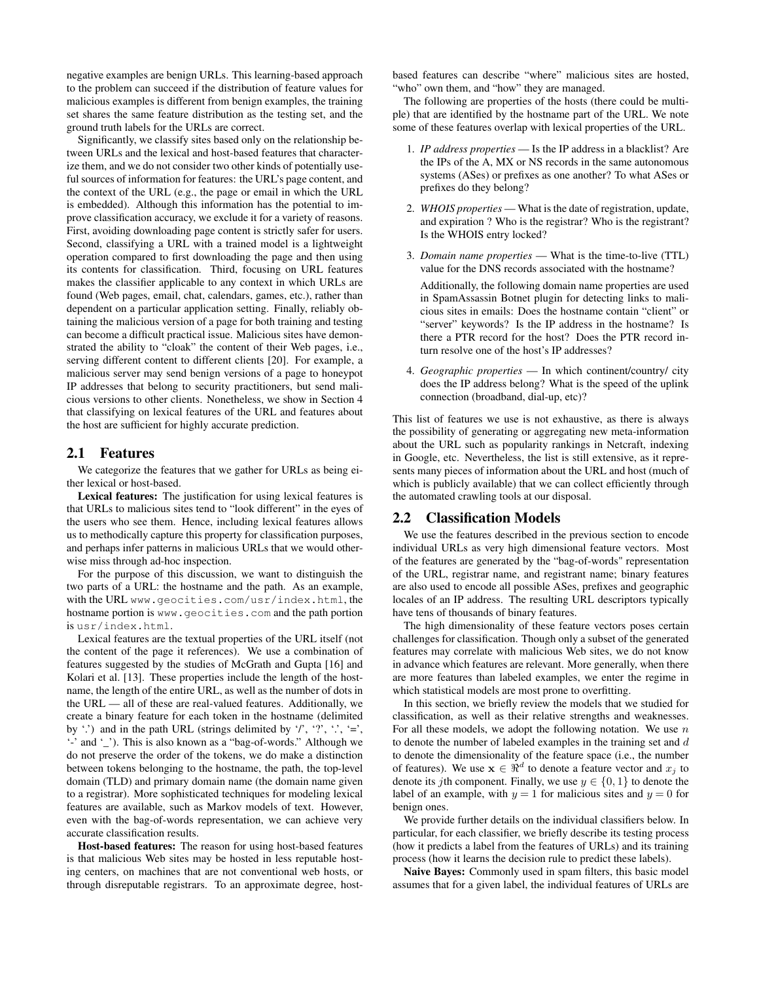negative examples are benign URLs. This learning-based approach to the problem can succeed if the distribution of feature values for malicious examples is different from benign examples, the training set shares the same feature distribution as the testing set, and the ground truth labels for the URLs are correct.

Significantly, we classify sites based only on the relationship between URLs and the lexical and host-based features that characterize them, and we do not consider two other kinds of potentially useful sources of information for features: the URL's page content, and the context of the URL (e.g., the page or email in which the URL is embedded). Although this information has the potential to improve classification accuracy, we exclude it for a variety of reasons. First, avoiding downloading page content is strictly safer for users. Second, classifying a URL with a trained model is a lightweight operation compared to first downloading the page and then using its contents for classification. Third, focusing on URL features makes the classifier applicable to any context in which URLs are found (Web pages, email, chat, calendars, games, etc.), rather than dependent on a particular application setting. Finally, reliably obtaining the malicious version of a page for both training and testing can become a difficult practical issue. Malicious sites have demonstrated the ability to "cloak" the content of their Web pages, i.e., serving different content to different clients [20]. For example, a malicious server may send benign versions of a page to honeypot IP addresses that belong to security practitioners, but send malicious versions to other clients. Nonetheless, we show in Section 4 that classifying on lexical features of the URL and features about the host are sufficient for highly accurate prediction.

# **2.1 Features**

We categorize the features that we gather for URLs as being either lexical or host-based.

**Lexical features:** The justification for using lexical features is that URLs to malicious sites tend to "look different" in the eyes of the users who see them. Hence, including lexical features allows us to methodically capture this property for classification purposes, and perhaps infer patterns in malicious URLs that we would otherwise miss through ad-hoc inspection.

For the purpose of this discussion, we want to distinguish the two parts of a URL: the hostname and the path. As an example, with the URL www.geocities.com/usr/index.html, the hostname portion is www.geocities.com and the path portion is usr/index.html.

Lexical features are the textual properties of the URL itself (not the content of the page it references). We use a combination of features suggested by the studies of McGrath and Gupta [16] and Kolari et al. [13]. These properties include the length of the hostname, the length of the entire URL, as well as the number of dots in the URL — all of these are real-valued features. Additionally, we create a binary feature for each token in the hostname (delimited by '.') and in the path URL (strings delimited by '/', '?', '.', '=', '-' and '\_'). This is also known as a "bag-of-words." Although we do not preserve the order of the tokens, we do make a distinction between tokens belonging to the hostname, the path, the top-level domain (TLD) and primary domain name (the domain name given to a registrar). More sophisticated techniques for modeling lexical features are available, such as Markov models of text. However, even with the bag-of-words representation, we can achieve very accurate classification results.

**Host-based features:** The reason for using host-based features is that malicious Web sites may be hosted in less reputable hosting centers, on machines that are not conventional web hosts, or through disreputable registrars. To an approximate degree, hostbased features can describe "where" malicious sites are hosted, "who" own them, and "how" they are managed.

The following are properties of the hosts (there could be multiple) that are identified by the hostname part of the URL. We note some of these features overlap with lexical properties of the URL.

- 1. *IP address properties* Is the IP address in a blacklist? Are the IPs of the A, MX or NS records in the same autonomous systems (ASes) or prefixes as one another? To what ASes or prefixes do they belong?
- 2. *WHOIS properties* What is the date of registration, update, and expiration ? Who is the registrar? Who is the registrant? Is the WHOIS entry locked?
- 3. *Domain name properties* What is the time-to-live (TTL) value for the DNS records associated with the hostname?

Additionally, the following domain name properties are used in SpamAssassin Botnet plugin for detecting links to malicious sites in emails: Does the hostname contain "client" or "server" keywords? Is the IP address in the hostname? Is there a PTR record for the host? Does the PTR record inturn resolve one of the host's IP addresses?

4. *Geographic properties* — In which continent/country/ city does the IP address belong? What is the speed of the uplink connection (broadband, dial-up, etc)?

This list of features we use is not exhaustive, as there is always the possibility of generating or aggregating new meta-information about the URL such as popularity rankings in Netcraft, indexing in Google, etc. Nevertheless, the list is still extensive, as it represents many pieces of information about the URL and host (much of which is publicly available) that we can collect efficiently through the automated crawling tools at our disposal.

# **2.2 Classification Models**

We use the features described in the previous section to encode individual URLs as very high dimensional feature vectors. Most of the features are generated by the "bag-of-words" representation of the URL, registrar name, and registrant name; binary features are also used to encode all possible ASes, prefixes and geographic locales of an IP address. The resulting URL descriptors typically have tens of thousands of binary features.

The high dimensionality of these feature vectors poses certain challenges for classification. Though only a subset of the generated features may correlate with malicious Web sites, we do not know in advance which features are relevant. More generally, when there are more features than labeled examples, we enter the regime in which statistical models are most prone to overfitting.

In this section, we briefly review the models that we studied for classification, as well as their relative strengths and weaknesses. For all these models, we adopt the following notation. We use  $n$ to denote the number of labeled examples in the training set and  $d$ to denote the dimensionality of the feature space (i.e., the number of features). We use  $\mathbf{x} \in \mathbb{R}^d$  to denote a feature vector and  $x_j$  to denote its *j*th component. Finally, we use  $y \in \{0, 1\}$  to denote the label of an example, with  $y = 1$  for malicious sites and  $y = 0$  for benign ones.

We provide further details on the individual classifiers below. In particular, for each classifier, we briefly describe its testing process (how it predicts a label from the features of URLs) and its training process (how it learns the decision rule to predict these labels).

**Naive Bayes:** Commonly used in spam filters, this basic model assumes that for a given label, the individual features of URLs are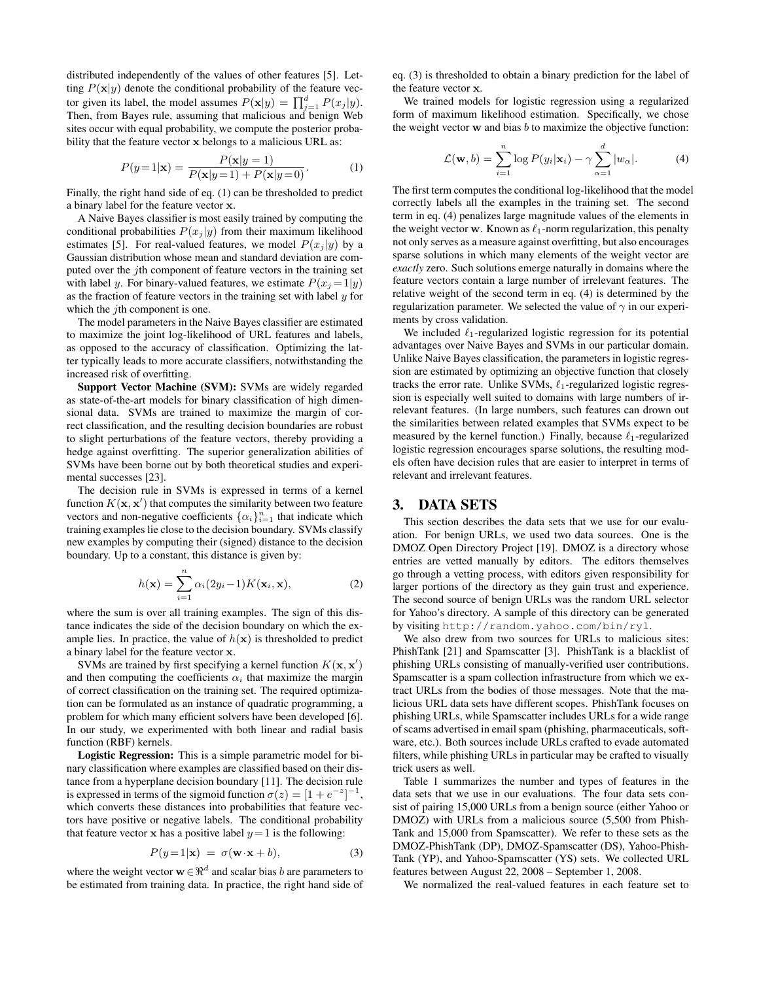distributed independently of the values of other features [5]. Letting  $P(x|y)$  denote the conditional probability of the feature vector given its label, the model assumes  $P(\mathbf{x}|y) = \prod_{j=1}^{d} P(x_j|y)$ . Then, from Bayes rule, assuming that malicious and benign Web sites occur with equal probability, we compute the posterior probability that the feature vector x belongs to a malicious URL as:

$$
P(y=1|\mathbf{x}) = \frac{P(\mathbf{x}|y=1)}{P(\mathbf{x}|y=1) + P(\mathbf{x}|y=0)}.
$$
 (1)

Finally, the right hand side of eq. (1) can be thresholded to predict a binary label for the feature vector x.

A Naive Bayes classifier is most easily trained by computing the conditional probabilities  $P(x_i | y)$  from their maximum likelihood estimates [5]. For real-valued features, we model  $P(x_i | y)$  by a Gaussian distribution whose mean and standard deviation are computed over the jth component of feature vectors in the training set with label y. For binary-valued features, we estimate  $P(x_j = 1|y)$ as the fraction of feature vectors in the training set with label  $y$  for which the *j*th component is one.

The model parameters in the Naive Bayes classifier are estimated to maximize the joint log-likelihood of URL features and labels, as opposed to the accuracy of classification. Optimizing the latter typically leads to more accurate classifiers, notwithstanding the increased risk of overfitting.

**Support Vector Machine (SVM):** SVMs are widely regarded as state-of-the-art models for binary classification of high dimensional data. SVMs are trained to maximize the margin of correct classification, and the resulting decision boundaries are robust to slight perturbations of the feature vectors, thereby providing a hedge against overfitting. The superior generalization abilities of SVMs have been borne out by both theoretical studies and experimental successes [23].

The decision rule in SVMs is expressed in terms of a kernel function  $K(\mathbf{x}, \mathbf{x}')$  that computes the similarity between two feature vectors and non-negative coefficients  $\{\alpha_i\}_{i=1}^n$  that indicate which training examples lie close to the decision boundary. SVMs classify new examples by computing their (signed) distance to the decision boundary. Up to a constant, this distance is given by:

$$
h(\mathbf{x}) = \sum_{i=1}^{n} \alpha_i (2y_i - 1) K(\mathbf{x}_i, \mathbf{x}),
$$
 (2)

where the sum is over all training examples. The sign of this distance indicates the side of the decision boundary on which the example lies. In practice, the value of  $h(\mathbf{x})$  is thresholded to predict a binary label for the feature vector x.

SVMs are trained by first specifying a kernel function  $K(\mathbf{x}, \mathbf{x}')$ and then computing the coefficients  $\alpha_i$  that maximize the margin of correct classification on the training set. The required optimization can be formulated as an instance of quadratic programming, a problem for which many efficient solvers have been developed [6]. In our study, we experimented with both linear and radial basis function (RBF) kernels.

**Logistic Regression:** This is a simple parametric model for binary classification where examples are classified based on their distance from a hyperplane decision boundary [11]. The decision rule is expressed in terms of the sigmoid function  $\sigma(z) = [1 + e^{-z}]^{-1}$ , which converts these distances into probabilities that feature vectors have positive or negative labels. The conditional probability that feature vector x has a positive label  $y=1$  is the following:

$$
P(y=1|\mathbf{x}) = \sigma(\mathbf{w} \cdot \mathbf{x} + b), \tag{3}
$$

where the weight vector  $\mathbf{w} \in \mathbb{R}^d$  and scalar bias b are parameters to be estimated from training data. In practice, the right hand side of eq. (3) is thresholded to obtain a binary prediction for the label of the feature vector x.

We trained models for logistic regression using a regularized form of maximum likelihood estimation. Specifically, we chose the weight vector  $w$  and bias  $b$  to maximize the objective function:

$$
\mathcal{L}(\mathbf{w},b) = \sum_{i=1}^{n} \log P(y_i|\mathbf{x}_i) - \gamma \sum_{\alpha=1}^{d} |w_{\alpha}|.
$$
 (4)

The first term computes the conditional log-likelihood that the model correctly labels all the examples in the training set. The second term in eq. (4) penalizes large magnitude values of the elements in the weight vector w. Known as  $\ell_1$ -norm regularization, this penalty not only serves as a measure against overfitting, but also encourages sparse solutions in which many elements of the weight vector are *exactly* zero. Such solutions emerge naturally in domains where the feature vectors contain a large number of irrelevant features. The relative weight of the second term in eq. (4) is determined by the regularization parameter. We selected the value of  $\gamma$  in our experiments by cross validation.

We included  $\ell_1$ -regularized logistic regression for its potential advantages over Naive Bayes and SVMs in our particular domain. Unlike Naive Bayes classification, the parameters in logistic regression are estimated by optimizing an objective function that closely tracks the error rate. Unlike SVMs,  $\ell_1$ -regularized logistic regression is especially well suited to domains with large numbers of irrelevant features. (In large numbers, such features can drown out the similarities between related examples that SVMs expect to be measured by the kernel function.) Finally, because  $\ell_1$ -regularized logistic regression encourages sparse solutions, the resulting models often have decision rules that are easier to interpret in terms of relevant and irrelevant features.

# **3. DATA SETS**

This section describes the data sets that we use for our evaluation. For benign URLs, we used two data sources. One is the DMOZ Open Directory Project [19]. DMOZ is a directory whose entries are vetted manually by editors. The editors themselves go through a vetting process, with editors given responsibility for larger portions of the directory as they gain trust and experience. The second source of benign URLs was the random URL selector for Yahoo's directory. A sample of this directory can be generated by visiting http://random.yahoo.com/bin/ryl.

We also drew from two sources for URLs to malicious sites: PhishTank [21] and Spamscatter [3]. PhishTank is a blacklist of phishing URLs consisting of manually-verified user contributions. Spamscatter is a spam collection infrastructure from which we extract URLs from the bodies of those messages. Note that the malicious URL data sets have different scopes. PhishTank focuses on phishing URLs, while Spamscatter includes URLs for a wide range of scams advertised in email spam (phishing, pharmaceuticals, software, etc.). Both sources include URLs crafted to evade automated filters, while phishing URLs in particular may be crafted to visually trick users as well.

Table 1 summarizes the number and types of features in the data sets that we use in our evaluations. The four data sets consist of pairing 15,000 URLs from a benign source (either Yahoo or DMOZ) with URLs from a malicious source (5,500 from Phish-Tank and 15,000 from Spamscatter). We refer to these sets as the DMOZ-PhishTank (DP), DMOZ-Spamscatter (DS), Yahoo-Phish-Tank (YP), and Yahoo-Spamscatter (YS) sets. We collected URL features between August 22, 2008 – September 1, 2008.

We normalized the real-valued features in each feature set to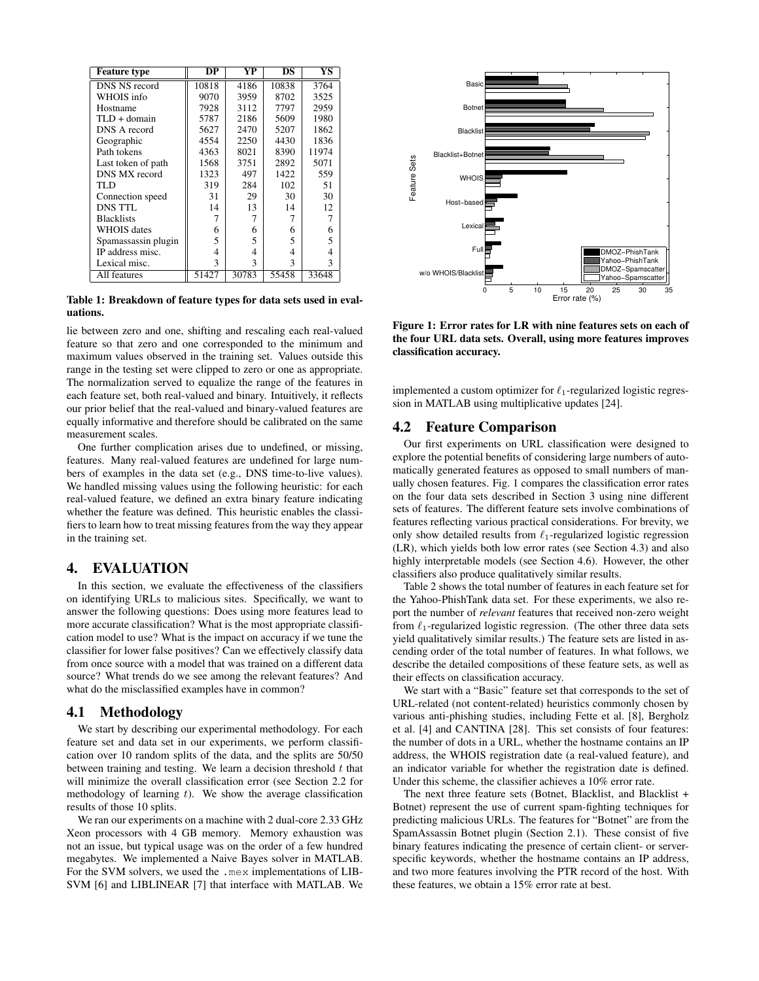| <b>Feature type</b> | DP                       | YР    | DS             | YS    |
|---------------------|--------------------------|-------|----------------|-------|
| DNS NS record       | 10818                    | 4186  | 10838          | 3764  |
| WHOIS info          | 9070                     | 3959  | 8702           | 3525  |
| Hostname            | 7928                     | 3112  | 7797           | 2959  |
| TLD + domain        | 5787                     | 2186  | 5609           | 1980  |
| DNS A record        | 5627                     | 2470  | 5207           | 1862  |
| Geographic          | 4554                     | 2250  | 4430           | 1836  |
| Path tokens         | 4363                     | 8021  | 8390           | 11974 |
| Last token of path  | 1568                     | 3751  | 2892           | 5071  |
| DNS MX record       | 1323                     | 497   | 1422           | 559   |
| TLD                 | 319                      | 284   | 102            | 51    |
| Connection speed    | 31                       | 29    | 30             | 30    |
| <b>DNS TTL</b>      | 14                       | 13    | 14             | 12    |
| <b>Blacklists</b>   |                          | 7     |                |       |
| WHOIS dates         | 6                        | 6     | 6              | 6     |
| Spamassassin plugin | $\overline{\phantom{0}}$ | 5     | 5              | 5     |
| IP address misc.    | 4                        | 4     | $\overline{4}$ | 4     |
| Lexical misc.       | 3                        | 3     | 3              | 3     |
| All features        | 51427                    | 30783 | 55458          | 33648 |

**Table 1: Breakdown of feature types for data sets used in evaluations.**

lie between zero and one, shifting and rescaling each real-valued feature so that zero and one corresponded to the minimum and maximum values observed in the training set. Values outside this range in the testing set were clipped to zero or one as appropriate. The normalization served to equalize the range of the features in each feature set, both real-valued and binary. Intuitively, it reflects our prior belief that the real-valued and binary-valued features are equally informative and therefore should be calibrated on the same measurement scales.

One further complication arises due to undefined, or missing, features. Many real-valued features are undefined for large numbers of examples in the data set (e.g., DNS time-to-live values). We handled missing values using the following heuristic: for each real-valued feature, we defined an extra binary feature indicating whether the feature was defined. This heuristic enables the classifiers to learn how to treat missing features from the way they appear in the training set.

# **4. EVALUATION**

In this section, we evaluate the effectiveness of the classifiers on identifying URLs to malicious sites. Specifically, we want to answer the following questions: Does using more features lead to more accurate classification? What is the most appropriate classification model to use? What is the impact on accuracy if we tune the classifier for lower false positives? Can we effectively classify data from once source with a model that was trained on a different data source? What trends do we see among the relevant features? And what do the misclassified examples have in common?

# **4.1 Methodology**

We start by describing our experimental methodology. For each feature set and data set in our experiments, we perform classification over 10 random splits of the data, and the splits are 50/50 between training and testing. We learn a decision threshold  $t$  that will minimize the overall classification error (see Section 2.2 for methodology of learning  $t$ ). We show the average classification results of those 10 splits.

We ran our experiments on a machine with 2 dual-core 2.33 GHz Xeon processors with 4 GB memory. Memory exhaustion was not an issue, but typical usage was on the order of a few hundred megabytes. We implemented a Naive Bayes solver in MATLAB. For the SVM solvers, we used the .mex implementations of LIB-SVM [6] and LIBLINEAR [7] that interface with MATLAB. We



**Figure 1: Error rates for LR with nine features sets on each of the four URL data sets. Overall, using more features improves classification accuracy.**

implemented a custom optimizer for  $\ell_1$ -regularized logistic regression in MATLAB using multiplicative updates [24].

# **4.2 Feature Comparison**

Our first experiments on URL classification were designed to explore the potential benefits of considering large numbers of automatically generated features as opposed to small numbers of manually chosen features. Fig. 1 compares the classification error rates on the four data sets described in Section 3 using nine different sets of features. The different feature sets involve combinations of features reflecting various practical considerations. For brevity, we only show detailed results from  $\ell_1$ -regularized logistic regression (LR), which yields both low error rates (see Section 4.3) and also highly interpretable models (see Section 4.6). However, the other classifiers also produce qualitatively similar results.

Table 2 shows the total number of features in each feature set for the Yahoo-PhishTank data set. For these experiments, we also report the number of *relevant* features that received non-zero weight from  $\ell_1$ -regularized logistic regression. (The other three data sets yield qualitatively similar results.) The feature sets are listed in ascending order of the total number of features. In what follows, we describe the detailed compositions of these feature sets, as well as their effects on classification accuracy.

We start with a "Basic" feature set that corresponds to the set of URL-related (not content-related) heuristics commonly chosen by various anti-phishing studies, including Fette et al. [8], Bergholz et al. [4] and CANTINA [28]. This set consists of four features: the number of dots in a URL, whether the hostname contains an IP address, the WHOIS registration date (a real-valued feature), and an indicator variable for whether the registration date is defined. Under this scheme, the classifier achieves a 10% error rate.

The next three feature sets (Botnet, Blacklist, and Blacklist + Botnet) represent the use of current spam-fighting techniques for predicting malicious URLs. The features for "Botnet" are from the SpamAssassin Botnet plugin (Section 2.1). These consist of five binary features indicating the presence of certain client- or serverspecific keywords, whether the hostname contains an IP address, and two more features involving the PTR record of the host. With these features, we obtain a 15% error rate at best.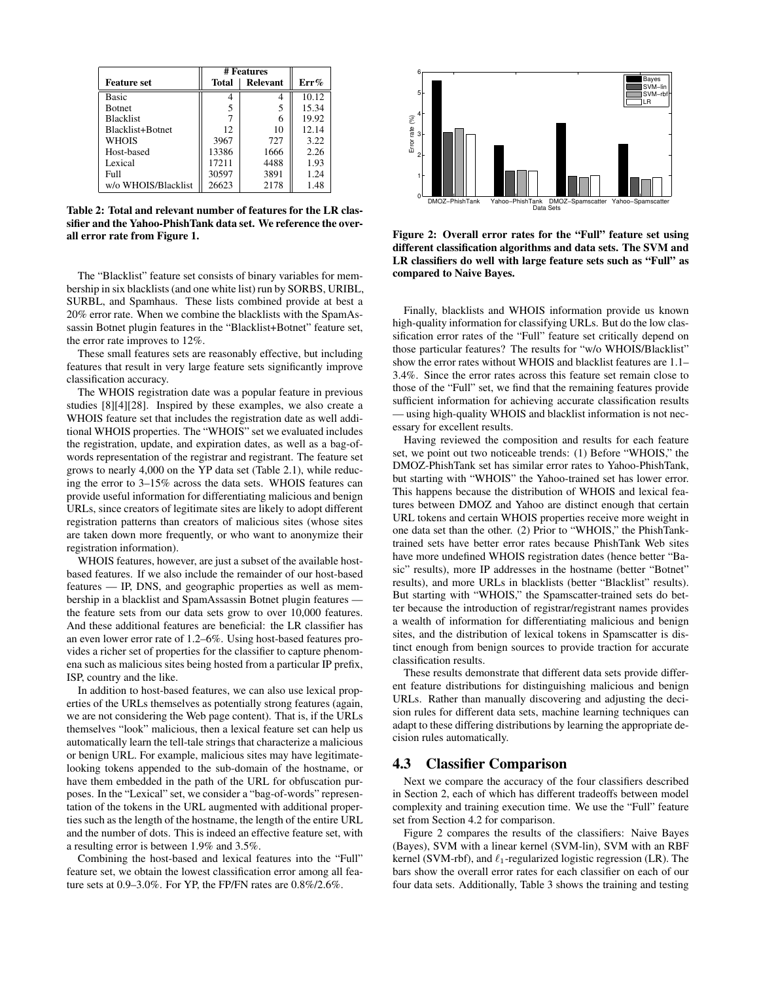|                     | # Features |          |       |
|---------------------|------------|----------|-------|
| <b>Feature set</b>  | Total      | Relevant | Err%  |
| <b>Basic</b>        | 4          |          | 10.12 |
| <b>Botnet</b>       | 5          | 5        | 15.34 |
| <b>Blacklist</b>    |            | 6        | 19.92 |
| Blacklist+Botnet    | 12         | 10       | 12.14 |
| WHOIS               | 3967       | 727      | 3.22  |
| Host-based          | 13386      | 1666     | 2.26  |
| Lexical             | 17211      | 4488     | 1.93  |
| Full                | 30597      | 3891     | 1.24  |
| w/o WHOIS/Blacklist | 26623      | 2178     | 1.48  |

**Table 2: Total and relevant number of features for the LR classifier and the Yahoo-PhishTank data set. We reference the overall error rate from Figure 1.**

The "Blacklist" feature set consists of binary variables for membership in six blacklists (and one white list) run by SORBS, URIBL, SURBL, and Spamhaus. These lists combined provide at best a 20% error rate. When we combine the blacklists with the SpamAssassin Botnet plugin features in the "Blacklist+Botnet" feature set, the error rate improves to 12%.

These small features sets are reasonably effective, but including features that result in very large feature sets significantly improve classification accuracy.

The WHOIS registration date was a popular feature in previous studies [8][4][28]. Inspired by these examples, we also create a WHOIS feature set that includes the registration date as well additional WHOIS properties. The "WHOIS" set we evaluated includes the registration, update, and expiration dates, as well as a bag-ofwords representation of the registrar and registrant. The feature set grows to nearly 4,000 on the YP data set (Table 2.1), while reducing the error to 3–15% across the data sets. WHOIS features can provide useful information for differentiating malicious and benign URLs, since creators of legitimate sites are likely to adopt different registration patterns than creators of malicious sites (whose sites are taken down more frequently, or who want to anonymize their registration information).

WHOIS features, however, are just a subset of the available hostbased features. If we also include the remainder of our host-based features — IP, DNS, and geographic properties as well as membership in a blacklist and SpamAssassin Botnet plugin features the feature sets from our data sets grow to over 10,000 features. And these additional features are beneficial: the LR classifier has an even lower error rate of 1.2–6%. Using host-based features provides a richer set of properties for the classifier to capture phenomena such as malicious sites being hosted from a particular IP prefix, ISP, country and the like.

In addition to host-based features, we can also use lexical properties of the URLs themselves as potentially strong features (again, we are not considering the Web page content). That is, if the URLs themselves "look" malicious, then a lexical feature set can help us automatically learn the tell-tale strings that characterize a malicious or benign URL. For example, malicious sites may have legitimatelooking tokens appended to the sub-domain of the hostname, or have them embedded in the path of the URL for obfuscation purposes. In the "Lexical" set, we consider a "bag-of-words" representation of the tokens in the URL augmented with additional properties such as the length of the hostname, the length of the entire URL and the number of dots. This is indeed an effective feature set, with a resulting error is between 1.9% and 3.5%.

Combining the host-based and lexical features into the "Full" feature set, we obtain the lowest classification error among all feature sets at 0.9–3.0%. For YP, the FP/FN rates are 0.8%/2.6%.



**Figure 2: Overall error rates for the "Full" feature set using different classification algorithms and data sets. The SVM and LR classifiers do well with large feature sets such as "Full" as compared to Naive Bayes.**

Finally, blacklists and WHOIS information provide us known high-quality information for classifying URLs. But do the low classification error rates of the "Full" feature set critically depend on those particular features? The results for "w/o WHOIS/Blacklist" show the error rates without WHOIS and blacklist features are 1.1– 3.4%. Since the error rates across this feature set remain close to those of the "Full" set, we find that the remaining features provide sufficient information for achieving accurate classification results — using high-quality WHOIS and blacklist information is not necessary for excellent results.

Having reviewed the composition and results for each feature set, we point out two noticeable trends: (1) Before "WHOIS," the DMOZ-PhishTank set has similar error rates to Yahoo-PhishTank, but starting with "WHOIS" the Yahoo-trained set has lower error. This happens because the distribution of WHOIS and lexical features between DMOZ and Yahoo are distinct enough that certain URL tokens and certain WHOIS properties receive more weight in one data set than the other. (2) Prior to "WHOIS," the PhishTanktrained sets have better error rates because PhishTank Web sites have more undefined WHOIS registration dates (hence better "Basic" results), more IP addresses in the hostname (better "Botnet" results), and more URLs in blacklists (better "Blacklist" results). But starting with "WHOIS," the Spamscatter-trained sets do better because the introduction of registrar/registrant names provides a wealth of information for differentiating malicious and benign sites, and the distribution of lexical tokens in Spamscatter is distinct enough from benign sources to provide traction for accurate classification results.

These results demonstrate that different data sets provide different feature distributions for distinguishing malicious and benign URLs. Rather than manually discovering and adjusting the decision rules for different data sets, machine learning techniques can adapt to these differing distributions by learning the appropriate decision rules automatically.

# **4.3 Classifier Comparison**

Next we compare the accuracy of the four classifiers described in Section 2, each of which has different tradeoffs between model complexity and training execution time. We use the "Full" feature set from Section 4.2 for comparison.

Figure 2 compares the results of the classifiers: Naive Bayes (Bayes), SVM with a linear kernel (SVM-lin), SVM with an RBF kernel (SVM-rbf), and  $\ell_1$ -regularized logistic regression (LR). The bars show the overall error rates for each classifier on each of our four data sets. Additionally, Table 3 shows the training and testing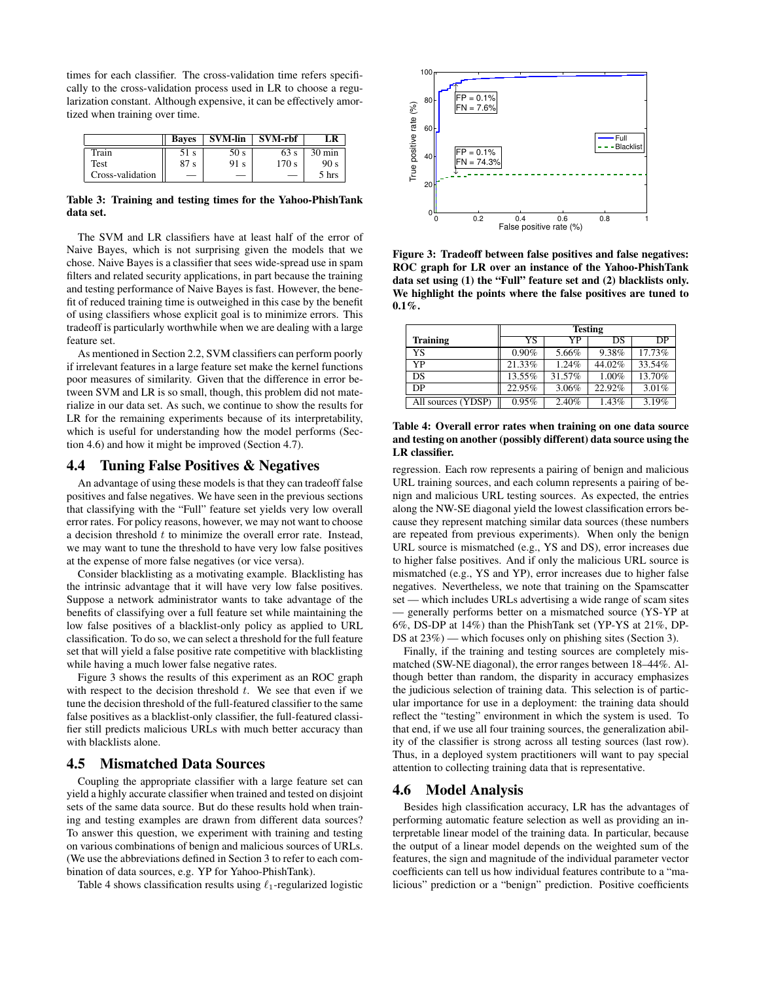times for each classifier. The cross-validation time refers specifically to the cross-validation process used in LR to choose a regularization constant. Although expensive, it can be effectively amortized when training over time.

|                  | <b>Baves</b> | <b>SVM-lin</b> | SVM-rbf | LR               |
|------------------|--------------|----------------|---------|------------------|
| Train            | 51 s         | 50 s           | 63 s    | $30 \text{ min}$ |
| Test             | 87s          | 91 s           | 170 s   | 90 s             |
| Cross-validation |              |                |         | 5 hrs            |

**Table 3: Training and testing times for the Yahoo-PhishTank data set.**

The SVM and LR classifiers have at least half of the error of Naive Bayes, which is not surprising given the models that we chose. Naive Bayes is a classifier that sees wide-spread use in spam filters and related security applications, in part because the training and testing performance of Naive Bayes is fast. However, the benefit of reduced training time is outweighed in this case by the benefit of using classifiers whose explicit goal is to minimize errors. This tradeoff is particularly worthwhile when we are dealing with a large feature set.

As mentioned in Section 2.2, SVM classifiers can perform poorly if irrelevant features in a large feature set make the kernel functions poor measures of similarity. Given that the difference in error between SVM and LR is so small, though, this problem did not materialize in our data set. As such, we continue to show the results for LR for the remaining experiments because of its interpretability, which is useful for understanding how the model performs (Section 4.6) and how it might be improved (Section 4.7).

#### **4.4 Tuning False Positives & Negatives**

An advantage of using these models is that they can tradeoff false positives and false negatives. We have seen in the previous sections that classifying with the "Full" feature set yields very low overall error rates. For policy reasons, however, we may not want to choose a decision threshold  $t$  to minimize the overall error rate. Instead, we may want to tune the threshold to have very low false positives at the expense of more false negatives (or vice versa).

Consider blacklisting as a motivating example. Blacklisting has the intrinsic advantage that it will have very low false positives. Suppose a network administrator wants to take advantage of the benefits of classifying over a full feature set while maintaining the low false positives of a blacklist-only policy as applied to URL classification. To do so, we can select a threshold for the full feature set that will yield a false positive rate competitive with blacklisting while having a much lower false negative rates.

Figure 3 shows the results of this experiment as an ROC graph with respect to the decision threshold  $t$ . We see that even if we tune the decision threshold of the full-featured classifier to the same false positives as a blacklist-only classifier, the full-featured classifier still predicts malicious URLs with much better accuracy than with blacklists alone.

# **4.5 Mismatched Data Sources**

Coupling the appropriate classifier with a large feature set can yield a highly accurate classifier when trained and tested on disjoint sets of the same data source. But do these results hold when training and testing examples are drawn from different data sources? To answer this question, we experiment with training and testing on various combinations of benign and malicious sources of URLs. (We use the abbreviations defined in Section 3 to refer to each combination of data sources, e.g. YP for Yahoo-PhishTank).

Table 4 shows classification results using  $\ell_1$ -regularized logistic



**Figure 3: Tradeoff between false positives and false negatives: ROC graph for LR over an instance of the Yahoo-PhishTank data set using (1) the "Full" feature set and (2) blacklists only. We highlight the points where the false positives are tuned to 0.1%.**

|                    | <b>Testing</b> |          |        |        |
|--------------------|----------------|----------|--------|--------|
| <b>Training</b>    | YS             | YP       | DS     | DР     |
| YS                 | $0.90\%$       | 5.66%    | 9.38%  | 17.73% |
| YP                 | 21.33%         | 1.24%    | 44.02% | 33.54% |
| DS                 | 13.55%         | 31.57%   | 1.00%  | 13.70% |
| DP                 | 22.95%         | $3.06\%$ | 22.92% | 3.01%  |
| All sources (YDSP) | 0.95%          | $2.40\%$ | 1.43%  | 3.19%  |

**Table 4: Overall error rates when training on one data source and testing on another (possibly different) data source using the LR classifier.**

regression. Each row represents a pairing of benign and malicious URL training sources, and each column represents a pairing of benign and malicious URL testing sources. As expected, the entries along the NW-SE diagonal yield the lowest classification errors because they represent matching similar data sources (these numbers are repeated from previous experiments). When only the benign URL source is mismatched (e.g., YS and DS), error increases due to higher false positives. And if only the malicious URL source is mismatched (e.g., YS and YP), error increases due to higher false negatives. Nevertheless, we note that training on the Spamscatter set — which includes URLs advertising a wide range of scam sites — generally performs better on a mismatched source (YS-YP at 6%, DS-DP at 14%) than the PhishTank set (YP-YS at 21%, DP-DS at  $23\%$ ) — which focuses only on phishing sites (Section 3).

Finally, if the training and testing sources are completely mismatched (SW-NE diagonal), the error ranges between 18–44%. Although better than random, the disparity in accuracy emphasizes the judicious selection of training data. This selection is of particular importance for use in a deployment: the training data should reflect the "testing" environment in which the system is used. To that end, if we use all four training sources, the generalization ability of the classifier is strong across all testing sources (last row). Thus, in a deployed system practitioners will want to pay special attention to collecting training data that is representative.

# **4.6 Model Analysis**

Besides high classification accuracy, LR has the advantages of performing automatic feature selection as well as providing an interpretable linear model of the training data. In particular, because the output of a linear model depends on the weighted sum of the features, the sign and magnitude of the individual parameter vector coefficients can tell us how individual features contribute to a "malicious" prediction or a "benign" prediction. Positive coefficients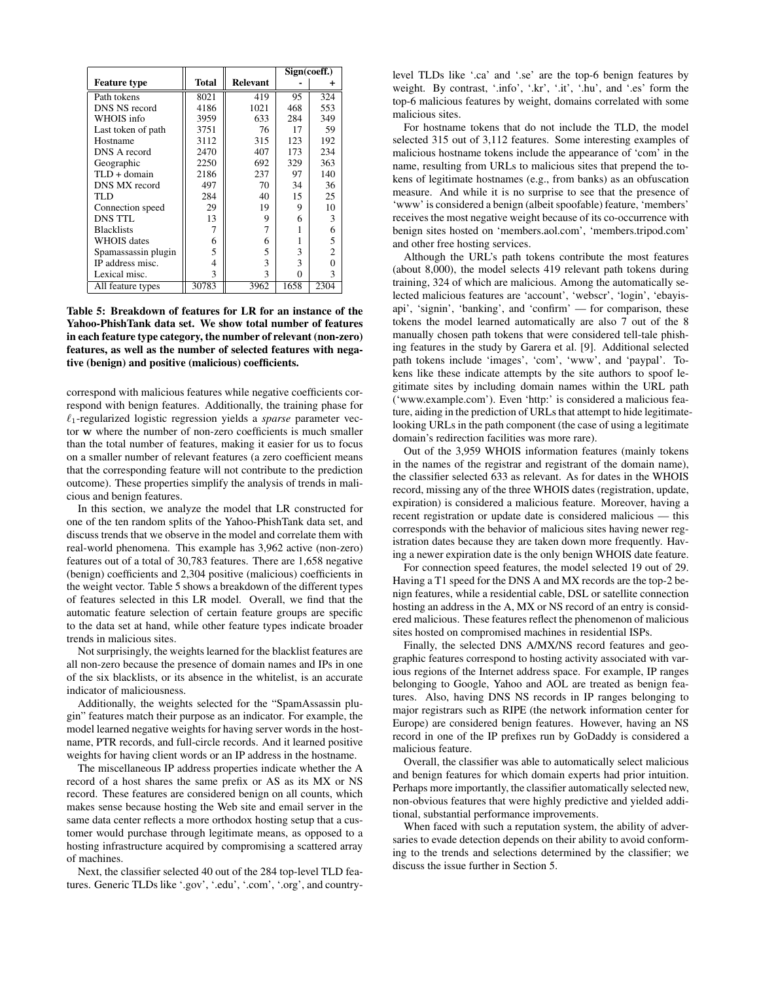|                     |       |                 | Sign(coeff.) |          |
|---------------------|-------|-----------------|--------------|----------|
| <b>Feature type</b> | Total | <b>Relevant</b> |              |          |
| Path tokens         | 8021  | 419             | 95           | 324      |
| DNS NS record       | 4186  | 1021            | 468          | 553      |
| WHOIS info          | 3959  | 633             | 284          | 349      |
| Last token of path  | 3751  | 76              | 17           | 59       |
| Hostname            | 3112  | 315             | 123          | 192      |
| DNS A record        | 2470  | 407             | 173          | 234      |
| Geographic          | 2250  | 692             | 329          | 363      |
| $TLD + domain$      | 2186  | 237             | 97           | 140      |
| DNS MX record       | 497   | 70              | 34           | 36       |
| TLD                 | 284   | 40              | 15           | 25       |
| Connection speed    | 29    | 19              | 9            | 10       |
| DNS TTL             | 13    | 9               | 6            | 3        |
| <b>Blacklists</b>   | 7     | 7               |              | 6        |
| <b>WHOIS</b> dates  | 6     | 6               |              | 5        |
| Spamassassin plugin | 5     | 5               | 3            | 2        |
| IP address misc.    | 4     | 3               | 3            | $\theta$ |
| Lexical misc.       | 3     | 3               | 0            | 3        |
| All feature types   | 30783 | 3962            | 1658         | 2304     |

**Table 5: Breakdown of features for LR for an instance of the Yahoo-PhishTank data set. We show total number of features in each feature type category, the number of relevant (non-zero) features, as well as the number of selected features with negative (benign) and positive (malicious) coefficients.**

correspond with malicious features while negative coefficients correspond with benign features. Additionally, the training phase for ℓ1-regularized logistic regression yields a *sparse* parameter vector w where the number of non-zero coefficients is much smaller than the total number of features, making it easier for us to focus on a smaller number of relevant features (a zero coefficient means that the corresponding feature will not contribute to the prediction outcome). These properties simplify the analysis of trends in malicious and benign features.

In this section, we analyze the model that LR constructed for one of the ten random splits of the Yahoo-PhishTank data set, and discuss trends that we observe in the model and correlate them with real-world phenomena. This example has 3,962 active (non-zero) features out of a total of 30,783 features. There are 1,658 negative (benign) coefficients and 2,304 positive (malicious) coefficients in the weight vector. Table 5 shows a breakdown of the different types of features selected in this LR model. Overall, we find that the automatic feature selection of certain feature groups are specific to the data set at hand, while other feature types indicate broader trends in malicious sites.

Not surprisingly, the weights learned for the blacklist features are all non-zero because the presence of domain names and IPs in one of the six blacklists, or its absence in the whitelist, is an accurate indicator of maliciousness.

Additionally, the weights selected for the "SpamAssassin plugin" features match their purpose as an indicator. For example, the model learned negative weights for having server words in the hostname, PTR records, and full-circle records. And it learned positive weights for having client words or an IP address in the hostname.

The miscellaneous IP address properties indicate whether the A record of a host shares the same prefix or AS as its MX or NS record. These features are considered benign on all counts, which makes sense because hosting the Web site and email server in the same data center reflects a more orthodox hosting setup that a customer would purchase through legitimate means, as opposed to a hosting infrastructure acquired by compromising a scattered array of machines.

Next, the classifier selected 40 out of the 284 top-level TLD features. Generic TLDs like '.gov', '.edu', '.com', '.org', and countrylevel TLDs like '.ca' and '.se' are the top-6 benign features by weight. By contrast, '.info', '.kr', '.it', '.hu', and '.es' form the top-6 malicious features by weight, domains correlated with some malicious sites.

For hostname tokens that do not include the TLD, the model selected 315 out of 3,112 features. Some interesting examples of malicious hostname tokens include the appearance of 'com' in the name, resulting from URLs to malicious sites that prepend the tokens of legitimate hostnames (e.g., from banks) as an obfuscation measure. And while it is no surprise to see that the presence of 'www' is considered a benign (albeit spoofable) feature, 'members' receives the most negative weight because of its co-occurrence with benign sites hosted on 'members.aol.com', 'members.tripod.com' and other free hosting services.

Although the URL's path tokens contribute the most features (about 8,000), the model selects 419 relevant path tokens during training, 324 of which are malicious. Among the automatically selected malicious features are 'account', 'webscr', 'login', 'ebayisapi', 'signin', 'banking', and 'confirm' — for comparison, these tokens the model learned automatically are also 7 out of the 8 manually chosen path tokens that were considered tell-tale phishing features in the study by Garera et al. [9]. Additional selected path tokens include 'images', 'com', 'www', and 'paypal'. Tokens like these indicate attempts by the site authors to spoof legitimate sites by including domain names within the URL path ('www.example.com'). Even 'http:' is considered a malicious feature, aiding in the prediction of URLs that attempt to hide legitimatelooking URLs in the path component (the case of using a legitimate domain's redirection facilities was more rare).

Out of the 3,959 WHOIS information features (mainly tokens in the names of the registrar and registrant of the domain name), the classifier selected 633 as relevant. As for dates in the WHOIS record, missing any of the three WHOIS dates (registration, update, expiration) is considered a malicious feature. Moreover, having a recent registration or update date is considered malicious — this corresponds with the behavior of malicious sites having newer registration dates because they are taken down more frequently. Having a newer expiration date is the only benign WHOIS date feature.

For connection speed features, the model selected 19 out of 29. Having a T1 speed for the DNS A and MX records are the top-2 benign features, while a residential cable, DSL or satellite connection hosting an address in the A, MX or NS record of an entry is considered malicious. These features reflect the phenomenon of malicious sites hosted on compromised machines in residential ISPs.

Finally, the selected DNS A/MX/NS record features and geographic features correspond to hosting activity associated with various regions of the Internet address space. For example, IP ranges belonging to Google, Yahoo and AOL are treated as benign features. Also, having DNS NS records in IP ranges belonging to major registrars such as RIPE (the network information center for Europe) are considered benign features. However, having an NS record in one of the IP prefixes run by GoDaddy is considered a malicious feature.

Overall, the classifier was able to automatically select malicious and benign features for which domain experts had prior intuition. Perhaps more importantly, the classifier automatically selected new, non-obvious features that were highly predictive and yielded additional, substantial performance improvements.

When faced with such a reputation system, the ability of adversaries to evade detection depends on their ability to avoid conforming to the trends and selections determined by the classifier; we discuss the issue further in Section 5.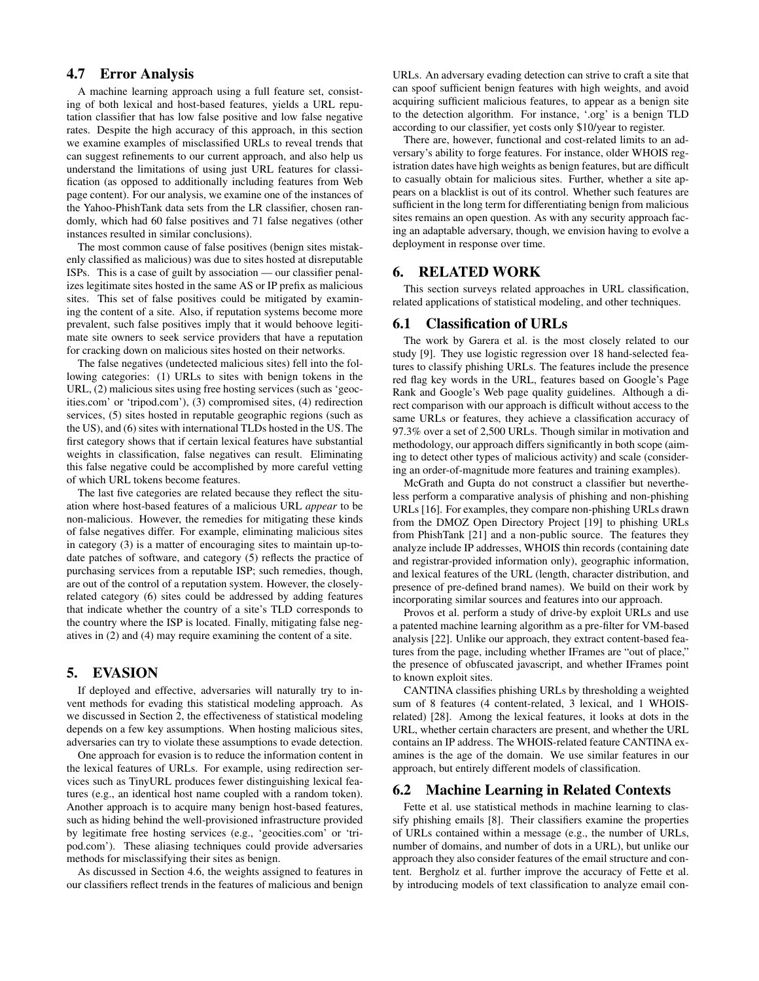# **4.7 Error Analysis**

A machine learning approach using a full feature set, consisting of both lexical and host-based features, yields a URL reputation classifier that has low false positive and low false negative rates. Despite the high accuracy of this approach, in this section we examine examples of misclassified URLs to reveal trends that can suggest refinements to our current approach, and also help us understand the limitations of using just URL features for classification (as opposed to additionally including features from Web page content). For our analysis, we examine one of the instances of the Yahoo-PhishTank data sets from the LR classifier, chosen randomly, which had 60 false positives and 71 false negatives (other instances resulted in similar conclusions).

The most common cause of false positives (benign sites mistakenly classified as malicious) was due to sites hosted at disreputable ISPs. This is a case of guilt by association — our classifier penalizes legitimate sites hosted in the same AS or IP prefix as malicious sites. This set of false positives could be mitigated by examining the content of a site. Also, if reputation systems become more prevalent, such false positives imply that it would behoove legitimate site owners to seek service providers that have a reputation for cracking down on malicious sites hosted on their networks.

The false negatives (undetected malicious sites) fell into the following categories: (1) URLs to sites with benign tokens in the URL, (2) malicious sites using free hosting services (such as 'geocities.com' or 'tripod.com'), (3) compromised sites, (4) redirection services, (5) sites hosted in reputable geographic regions (such as the US), and (6) sites with international TLDs hosted in the US. The first category shows that if certain lexical features have substantial weights in classification, false negatives can result. Eliminating this false negative could be accomplished by more careful vetting of which URL tokens become features.

The last five categories are related because they reflect the situation where host-based features of a malicious URL *appear* to be non-malicious. However, the remedies for mitigating these kinds of false negatives differ. For example, eliminating malicious sites in category (3) is a matter of encouraging sites to maintain up-todate patches of software, and category (5) reflects the practice of purchasing services from a reputable ISP; such remedies, though, are out of the control of a reputation system. However, the closelyrelated category (6) sites could be addressed by adding features that indicate whether the country of a site's TLD corresponds to the country where the ISP is located. Finally, mitigating false negatives in (2) and (4) may require examining the content of a site.

# **5. EVASION**

If deployed and effective, adversaries will naturally try to invent methods for evading this statistical modeling approach. As we discussed in Section 2, the effectiveness of statistical modeling depends on a few key assumptions. When hosting malicious sites, adversaries can try to violate these assumptions to evade detection.

One approach for evasion is to reduce the information content in the lexical features of URLs. For example, using redirection services such as TinyURL produces fewer distinguishing lexical features (e.g., an identical host name coupled with a random token). Another approach is to acquire many benign host-based features, such as hiding behind the well-provisioned infrastructure provided by legitimate free hosting services (e.g., 'geocities.com' or 'tripod.com'). These aliasing techniques could provide adversaries methods for misclassifying their sites as benign.

As discussed in Section 4.6, the weights assigned to features in our classifiers reflect trends in the features of malicious and benign URLs. An adversary evading detection can strive to craft a site that can spoof sufficient benign features with high weights, and avoid acquiring sufficient malicious features, to appear as a benign site to the detection algorithm. For instance, '.org' is a benign TLD according to our classifier, yet costs only \$10/year to register.

There are, however, functional and cost-related limits to an adversary's ability to forge features. For instance, older WHOIS registration dates have high weights as benign features, but are difficult to casually obtain for malicious sites. Further, whether a site appears on a blacklist is out of its control. Whether such features are sufficient in the long term for differentiating benign from malicious sites remains an open question. As with any security approach facing an adaptable adversary, though, we envision having to evolve a deployment in response over time.

# **6. RELATED WORK**

This section surveys related approaches in URL classification, related applications of statistical modeling, and other techniques.

### **6.1 Classification of URLs**

The work by Garera et al. is the most closely related to our study [9]. They use logistic regression over 18 hand-selected features to classify phishing URLs. The features include the presence red flag key words in the URL, features based on Google's Page Rank and Google's Web page quality guidelines. Although a direct comparison with our approach is difficult without access to the same URLs or features, they achieve a classification accuracy of 97.3% over a set of 2,500 URLs. Though similar in motivation and methodology, our approach differs significantly in both scope (aiming to detect other types of malicious activity) and scale (considering an order-of-magnitude more features and training examples).

McGrath and Gupta do not construct a classifier but nevertheless perform a comparative analysis of phishing and non-phishing URLs [16]. For examples, they compare non-phishing URLs drawn from the DMOZ Open Directory Project [19] to phishing URLs from PhishTank [21] and a non-public source. The features they analyze include IP addresses, WHOIS thin records (containing date and registrar-provided information only), geographic information, and lexical features of the URL (length, character distribution, and presence of pre-defined brand names). We build on their work by incorporating similar sources and features into our approach.

Provos et al. perform a study of drive-by exploit URLs and use a patented machine learning algorithm as a pre-filter for VM-based analysis [22]. Unlike our approach, they extract content-based features from the page, including whether IFrames are "out of place," the presence of obfuscated javascript, and whether IFrames point to known exploit sites.

CANTINA classifies phishing URLs by thresholding a weighted sum of 8 features (4 content-related, 3 lexical, and 1 WHOISrelated) [28]. Among the lexical features, it looks at dots in the URL, whether certain characters are present, and whether the URL contains an IP address. The WHOIS-related feature CANTINA examines is the age of the domain. We use similar features in our approach, but entirely different models of classification.

# **6.2 Machine Learning in Related Contexts**

Fette et al. use statistical methods in machine learning to classify phishing emails [8]. Their classifiers examine the properties of URLs contained within a message (e.g., the number of URLs, number of domains, and number of dots in a URL), but unlike our approach they also consider features of the email structure and content. Bergholz et al. further improve the accuracy of Fette et al. by introducing models of text classification to analyze email con